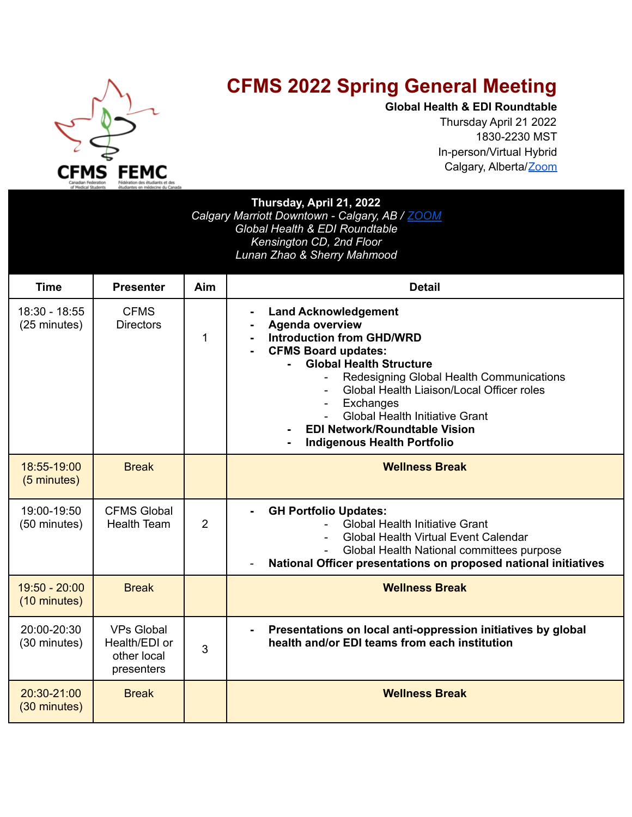

## **CFMS 2022 Spring General Meeting**

**Global Health & EDI Roundtable** Thursday April 21 2022 1830-2230 MST In-person/Virtual Hybrid Calgary, Alberta/Zoom

| Thursday, April 21, 2022<br>Calgary Marriott Downtown - Calgary, AB / ZOOM<br>Global Health & EDI Roundtable<br>Kensington CD, 2nd Floor<br>Lunan Zhao & Sherry Mahmood |                                                                 |     |                                                                                                                                                                                                                                                                                                                                                                                                                    |  |  |
|-------------------------------------------------------------------------------------------------------------------------------------------------------------------------|-----------------------------------------------------------------|-----|--------------------------------------------------------------------------------------------------------------------------------------------------------------------------------------------------------------------------------------------------------------------------------------------------------------------------------------------------------------------------------------------------------------------|--|--|
| <b>Time</b>                                                                                                                                                             | <b>Presenter</b>                                                | Aim | <b>Detail</b>                                                                                                                                                                                                                                                                                                                                                                                                      |  |  |
| 18:30 - 18:55<br>(25 minutes)                                                                                                                                           | <b>CFMS</b><br><b>Directors</b>                                 | 1   | <b>Land Acknowledgement</b><br><b>Agenda overview</b><br><b>Introduction from GHD/WRD</b><br><b>CFMS Board updates:</b><br><b>Global Health Structure</b><br>Redesigning Global Health Communications<br>Global Health Liaison/Local Officer roles<br>Exchanges<br>$\overline{\phantom{0}}$<br><b>Global Health Initiative Grant</b><br><b>EDI Network/Roundtable Vision</b><br><b>Indigenous Health Portfolio</b> |  |  |
| 18:55-19:00<br>(5 minutes)                                                                                                                                              | <b>Break</b>                                                    |     | <b>Wellness Break</b>                                                                                                                                                                                                                                                                                                                                                                                              |  |  |
|                                                                                                                                                                         |                                                                 |     |                                                                                                                                                                                                                                                                                                                                                                                                                    |  |  |
| 19:00-19:50<br>(50 minutes)                                                                                                                                             | <b>CFMS Global</b><br><b>Health Team</b>                        | 2   | <b>GH Portfolio Updates:</b><br><b>Global Health Initiative Grant</b><br>Global Health Virtual Event Calendar<br>Global Health National committees purpose<br>National Officer presentations on proposed national initiatives                                                                                                                                                                                      |  |  |
| $19:50 - 20:00$<br>(10 minutes)                                                                                                                                         | <b>Break</b>                                                    |     | <b>Wellness Break</b>                                                                                                                                                                                                                                                                                                                                                                                              |  |  |
| 20:00-20:30<br>(30 minutes)                                                                                                                                             | <b>VPs Global</b><br>Health/EDI or<br>other local<br>presenters | 3   | Presentations on local anti-oppression initiatives by global<br>health and/or EDI teams from each institution                                                                                                                                                                                                                                                                                                      |  |  |